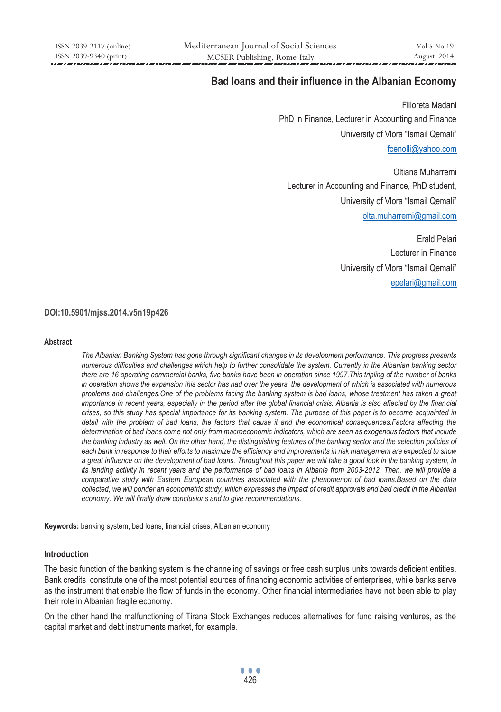# **Bad loans and their influence in the Albanian Economy**

Filloreta Madani PhD in Finance, Lecturer in Accounting and Finance University of Vlora "Ismail Qemali"

fcenolli@yahoo.com

Oltiana Muharremi Lecturer in Accounting and Finance, PhD student, University of Vlora "Ismail Qemali" olta.muharremi@gmail.com

> Erald Pelari Lecturer in Finance University of Vlora "Ismail Qemali" epelari@gmail.com

# **DOI:10.5901/mjss.2014.v5n19p426**

#### **Abstract**

*The Albanian Banking System has gone through significant changes in its development performance. This progress presents numerous difficulties and challenges which help to further consolidate the system. Currently in the Albanian banking sector there are 16 operating commercial banks, five banks have been in operation since 1997.This tripling of the number of banks in operation shows the expansion this sector has had over the years, the development of which is associated with numerous problems and challenges.One of the problems facing the banking system is bad loans, whose treatment has taken a great importance in recent years, especially in the period after the global financial crisis. Albania is also affected by the financial crises, so this study has special importance for its banking system. The purpose of this paper is to become acquainted in detail with the problem of bad loans, the factors that cause it and the economical consequences.Factors affecting the determination of bad loans come not only from macroeconomic indicators, which are seen as exogenous factors that include the banking industry as well. On the other hand, the distinguishing features of the banking sector and the selection policies of each bank in response to their efforts to maximize the efficiency and improvements in risk management are expected to show a great influence on the development of bad loans. Throughout this paper we will take a good look in the banking system, in its lending activity in recent years and the performance of bad loans in Albania from 2003-2012. Then, we will provide a comparative study with Eastern European countries associated with the phenomenon of bad loans.Based on the data collected, we will ponder an econometric study, which expresses the impact of credit approvals and bad credit in the Albanian economy. We will finally draw conclusions and to give recommendations.* 

**Keywords:** banking system, bad loans, financial crises, Albanian economy

# **Introduction**

The basic function of the banking system is the channeling of savings or free cash surplus units towards deficient entities. Bank credits constitute one of the most potential sources of financing economic activities of enterprises, while banks serve as the instrument that enable the flow of funds in the economy. Other financial intermediaries have not been able to play their role in Albanian fragile economy.

On the other hand the malfunctioning of Tirana Stock Exchanges reduces alternatives for fund raising ventures, as the capital market and debt instruments market, for example.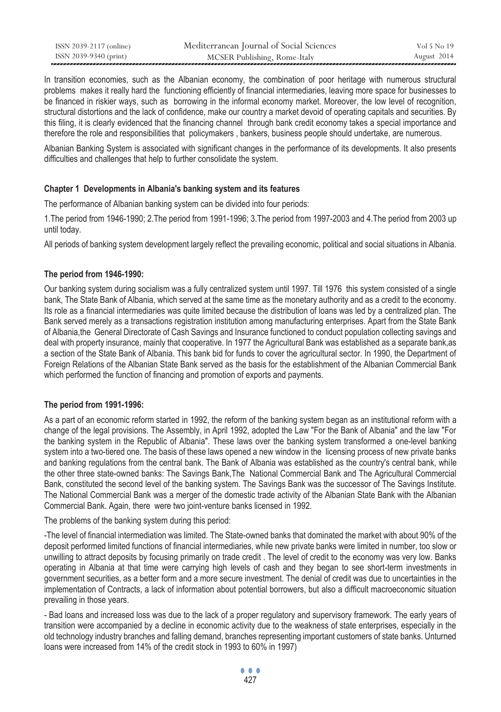| ISSN 2039-2117 (online) | Mediterranean Journal of Social Sciences | Vol 5 No 19 |
|-------------------------|------------------------------------------|-------------|
| ISSN 2039-9340 (print)  | MCSER Publishing, Rome-Italy             | August 2014 |

In transition economies, such as the Albanian economy, the combination of poor heritage with numerous structural problems makes it really hard the functioning efficiently of financial intermediaries, leaving more space for businesses to be financed in riskier ways, such as borrowing in the informal economy market. Moreover, the low level of recognition, structural distortions and the lack of confidence, make our country a market devoid of operating capitals and securities. By this filing, it is clearly evidenced that the financing channel through bank credit economy takes a special importance and therefore the role and responsibilities that policymakers , bankers, business people should undertake, are numerous.

Albanian Banking System is associated with significant changes in the performance of its developments. It also presents difficulties and challenges that help to further consolidate the system.

# **Chapter 1 Developments in Albania's banking system and its features**

The performance of Albanian banking system can be divided into four periods:

1.The period from 1946-1990; 2.The period from 1991-1996; 3.The period from 1997-2003 and 4.The period from 2003 up until today.

All periods of banking system development largely reflect the prevailing economic, political and social situations in Albania.

# **The period from 1946-1990:**

Our banking system during socialism was a fully centralized system until 1997. Till 1976 this system consisted of a single bank, The State Bank of Albania, which served at the same time as the monetary authority and as a credit to the economy. Its role as a financial intermediaries was quite limited because the distribution of loans was led by a centralized plan. The Bank served merely as a transactions registration institution among manufacturing enterprises. Apart from the State Bank of Albania,the General Directorate of Cash Savings and Insurance functioned to conduct population collecting savings and deal with property insurance, mainly that cooperative. In 1977 the Agricultural Bank was established as a separate bank,as a section of the State Bank of Albania. This bank bid for funds to cover the agricultural sector. In 1990, the Department of Foreign Relations of the Albanian State Bank served as the basis for the establishment of the Albanian Commercial Bank which performed the function of financing and promotion of exports and payments.

# **The period from 1991-1996:**

As a part of an economic reform started in 1992, the reform of the banking system began as an institutional reform with a change of the legal provisions. The Assembly, in April 1992, adopted the Law "For the Bank of Albania" and the law "For the banking system in the Republic of Albania". These laws over the banking system transformed a one-level banking system into a two-tiered one. The basis of these laws opened a new window in the licensing process of new private banks and banking regulations from the central bank. The Bank of Albania was established as the country's central bank, while the other three state-owned banks: The Savings Bank,The National Commercial Bank and The Agricultural Commercial Bank, constituted the second level of the banking system. The Savings Bank was the successor of The Savings Institute. The National Commercial Bank was a merger of the domestic trade activity of the Albanian State Bank with the Albanian Commercial Bank. Again, there were two joint-venture banks licensed in 1992.

The problems of the banking system during this period:

-The level of financial intermediation was limited. The State-owned banks that dominated the market with about 90% of the deposit performed limited functions of financial intermediaries, while new private banks were limited in number, too slow or unwilling to attract deposits by focusing primarily on trade credit . The level of credit to the economy was very low. Banks operating in Albania at that time were carrying high levels of cash and they began to see short-term investments in government securities, as a better form and a more secure investment. The denial of credit was due to uncertainties in the implementation of Contracts, a lack of information about potential borrowers, but also a difficult macroeconomic situation prevailing in those years.

- Bad loans and increased loss was due to the lack of a proper regulatory and supervisory framework. The early years of transition were accompanied by a decline in economic activity due to the weakness of state enterprises, especially in the old technology industry branches and falling demand, branches representing important customers of state banks. Unturned loans were increased from 14% of the credit stock in 1993 to 60% in 1997)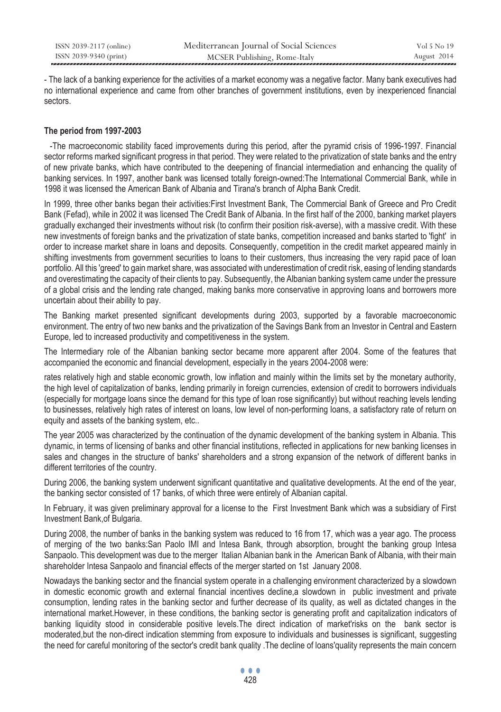| ISSN 2039-2117 (online) | Mediterranean Journal of Social Sciences | Vol 5 No 19 |
|-------------------------|------------------------------------------|-------------|
| ISSN 2039-9340 (print)  | MCSER Publishing, Rome-Italy             | August 2014 |

- The lack of a banking experience for the activities of a market economy was a negative factor. Many bank executives had no international experience and came from other branches of government institutions, even by inexperienced financial sectors.

# **The period from 1997-2003**

 -The macroeconomic stability faced improvements during this period, after the pyramid crisis of 1996-1997. Financial sector reforms marked significant progress in that period. They were related to the privatization of state banks and the entry of new private banks, which have contributed to the deepening of financial intermediation and enhancing the quality of banking services. In 1997, another bank was licensed totally foreign-owned:The International Commercial Bank, while in 1998 it was licensed the American Bank of Albania and Tirana's branch of Alpha Bank Credit.

In 1999, three other banks began their activities:First Investment Bank, The Commercial Bank of Greece and Pro Credit Bank (Fefad), while in 2002 it was licensed The Credit Bank of Albania. In the first half of the 2000, banking market players gradually exchanged their investments without risk (to confirm their position risk-averse), with a massive credit. With these new investments of foreign banks and the privatization of state banks, competition increased and banks started to 'fight' in order to increase market share in loans and deposits. Consequently, competition in the credit market appeared mainly in shifting investments from government securities to loans to their customers, thus increasing the very rapid pace of loan portfolio. All this 'greed' to gain market share, was associated with underestimation of credit risk, easing of lending standards and overestimating the capacity of their clients to pay. Subsequently, the Albanian banking system came under the pressure of a global crisis and the lending rate changed, making banks more conservative in approving loans and borrowers more uncertain about their ability to pay.

The Banking market presented significant developments during 2003, supported by a favorable macroeconomic environment. The entry of two new banks and the privatization of the Savings Bank from an Investor in Central and Eastern Europe, led to increased productivity and competitiveness in the system.

The Intermediary role of the Albanian banking sector became more apparent after 2004. Some of the features that accompanied the economic and financial development, especially in the years 2004-2008 were:

rates relatively high and stable economic growth, low inflation and mainly within the limits set by the monetary authority, the high level of capitalization of banks, lending primarily in foreign currencies, extension of credit to borrowers individuals (especially for mortgage loans since the demand for this type of loan rose significantly) but without reaching levels lending to businesses, relatively high rates of interest on loans, low level of non-performing loans, a satisfactory rate of return on equity and assets of the banking system, etc..

The year 2005 was characterized by the continuation of the dynamic development of the banking system in Albania. This dynamic, in terms of licensing of banks and other financial institutions, reflected in applications for new banking licenses in sales and changes in the structure of banks' shareholders and a strong expansion of the network of different banks in different territories of the country.

During 2006, the banking system underwent significant quantitative and qualitative developments. At the end of the year, the banking sector consisted of 17 banks, of which three were entirely of Albanian capital.

In February, it was given preliminary approval for a license to the First Investment Bank which was a subsidiary of First Investment Bank,of Bulgaria.

During 2008, the number of banks in the banking system was reduced to 16 from 17, which was a year ago. The process of merging of the two banks:San Paolo IMI and Intesa Bank, through absorption, brought the banking group Intesa Sanpaolo. This development was due to the merger Italian Albanian bank in the American Bank of Albania, with their main shareholder Intesa Sanpaolo and financial effects of the merger started on 1st January 2008.

Nowadays the banking sector and the financial system operate in a challenging environment characterized by a slowdown in domestic economic growth and external financial incentives decline,a slowdown in public investment and private consumption, lending rates in the banking sector and further decrease of its quality, as well as dictated changes in the international market.However, in these conditions, the banking sector is generating profit and capitalization indicators of banking liquidity stood in considerable positive levels.The direct indication of market'risks on the bank sector is moderated,but the non-direct indication stemming from exposure to individuals and businesses is significant, suggesting the need for careful monitoring of the sector's credit bank quality .The decline of loans'quality represents the main concern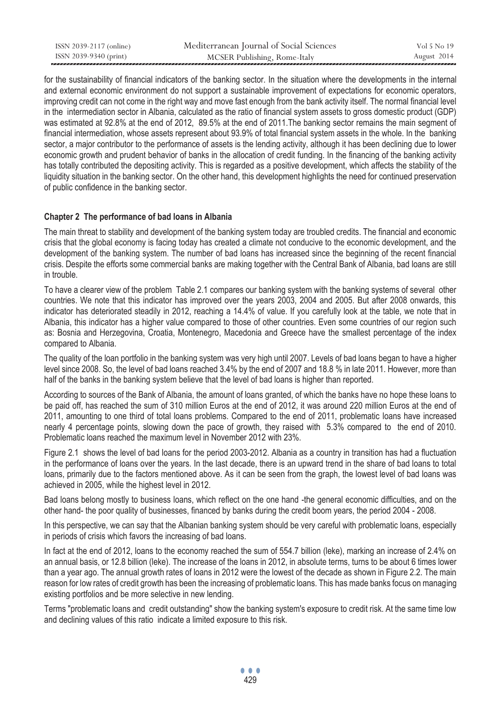| ISSN 2039-2117 (online) | Mediterranean Journal of Social Sciences | Vol 5 No 19 |
|-------------------------|------------------------------------------|-------------|
| ISSN 2039-9340 (print)  | MCSER Publishing, Rome-Italy             | August 2014 |

for the sustainability of financial indicators of the banking sector. In the situation where the developments in the internal and external economic environment do not support a sustainable improvement of expectations for economic operators, improving credit can not come in the right way and move fast enough from the bank activity itself. The normal financial level in the intermediation sector in Albania, calculated as the ratio of financial system assets to gross domestic product (GDP) was estimated at 92.8% at the end of 2012, 89.5% at the end of 2011. The banking sector remains the main segment of financial intermediation, whose assets represent about 93.9% of total financial system assets in the whole. In the banking sector, a major contributor to the performance of assets is the lending activity, although it has been declining due to lower economic growth and prudent behavior of banks in the allocation of credit funding. In the financing of the banking activity has totally contributed the depositing activity. This is regarded as a positive development, which affects the stability of the liquidity situation in the banking sector. On the other hand, this development highlights the need for continued preservation of public confidence in the banking sector.

# **Chapter 2 The performance of bad loans in Albania**

The main threat to stability and development of the banking system today are troubled credits. The financial and economic crisis that the global economy is facing today has created a climate not conducive to the economic development, and the development of the banking system. The number of bad loans has increased since the beginning of the recent financial crisis. Despite the efforts some commercial banks are making together with the Central Bank of Albania, bad loans are still in trouble.

To have a clearer view of the problem Table 2.1 compares our banking system with the banking systems of several other countries. We note that this indicator has improved over the years 2003, 2004 and 2005. But after 2008 onwards, this indicator has deteriorated steadily in 2012, reaching a 14.4% of value. If you carefully look at the table, we note that in Albania, this indicator has a higher value compared to those of other countries. Even some countries of our region such as: Bosnia and Herzegovina, Croatia, Montenegro, Macedonia and Greece have the smallest percentage of the index compared to Albania.

The quality of the loan portfolio in the banking system was very high until 2007. Levels of bad loans began to have a higher level since 2008. So, the level of bad loans reached 3.4% by the end of 2007 and 18.8 % in late 2011. However, more than half of the banks in the banking system believe that the level of bad loans is higher than reported.

According to sources of the Bank of Albania, the amount of loans granted, of which the banks have no hope these loans to be paid off, has reached the sum of 310 million Euros at the end of 2012, it was around 220 million Euros at the end of 2011, amounting to one third of total loans problems. Compared to the end of 2011, problematic loans have increased nearly 4 percentage points, slowing down the pace of growth, they raised with 5.3% compared to the end of 2010. Problematic loans reached the maximum level in November 2012 with 23%.

Figure 2.1 shows the level of bad loans for the period 2003-2012. Albania as a country in transition has had a fluctuation in the performance of loans over the years. In the last decade, there is an upward trend in the share of bad loans to total loans, primarily due to the factors mentioned above. As it can be seen from the graph, the lowest level of bad loans was achieved in 2005, while the highest level in 2012.

Bad loans belong mostly to business loans, which reflect on the one hand -the general economic difficulties, and on the other hand- the poor quality of businesses, financed by banks during the credit boom years, the period 2004 - 2008.

In this perspective, we can say that the Albanian banking system should be very careful with problematic loans, especially in periods of crisis which favors the increasing of bad loans.

In fact at the end of 2012, loans to the economy reached the sum of 554.7 billion (leke), marking an increase of 2.4% on an annual basis, or 12.8 billion (leke). The increase of the loans in 2012, in absolute terms, turns to be about 6 times lower than a year ago. The annual growth rates of loans in 2012 were the lowest of the decade as shown in Figure 2.2. The main reason for low rates of credit growth has been the increasing of problematic loans. This has made banks focus on managing existing portfolios and be more selective in new lending.

Terms "problematic loans and credit outstanding" show the banking system's exposure to credit risk. At the same time low and declining values of this ratio indicate a limited exposure to this risk.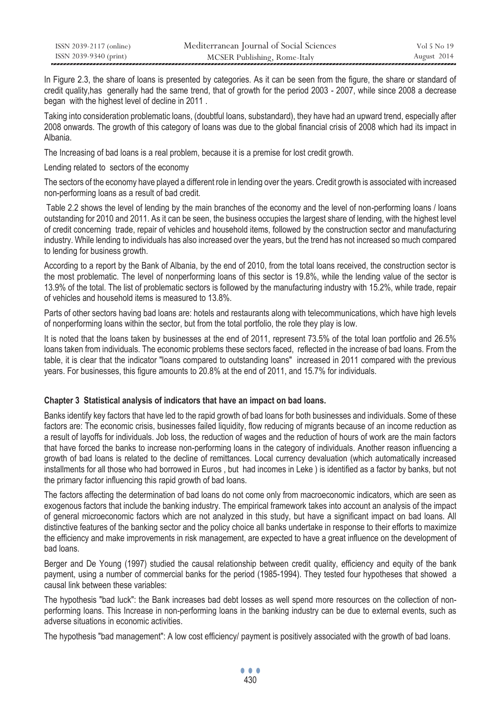| ISSN 2039-2117 (online) | Mediterranean Journal of Social Sciences | Vol 5 No 19 |
|-------------------------|------------------------------------------|-------------|
| ISSN 2039-9340 (print)  | MCSER Publishing, Rome-Italy             | August 2014 |

In Figure 2.3, the share of loans is presented by categories. As it can be seen from the figure, the share or standard of credit quality,has generally had the same trend, that of growth for the period 2003 - 2007, while since 2008 a decrease began with the highest level of decline in 2011 .

Taking into consideration problematic loans, (doubtful loans, substandard), they have had an upward trend, especially after 2008 onwards. The growth of this category of loans was due to the global financial crisis of 2008 which had its impact in Albania.

The Increasing of bad loans is a real problem, because it is a premise for lost credit growth.

Lending related to sectors of the economy

The sectors of the economy have played a different role in lending over the years. Credit growth is associated with increased non-performing loans as a result of bad credit.

 Table 2.2 shows the level of lending by the main branches of the economy and the level of non-performing loans / loans outstanding for 2010 and 2011. As it can be seen, the business occupies the largest share of lending, with the highest level of credit concerning trade, repair of vehicles and household items, followed by the construction sector and manufacturing industry. While lending to individuals has also increased over the years, but the trend has not increased so much compared to lending for business growth.

According to a report by the Bank of Albania, by the end of 2010, from the total loans received, the construction sector is the most problematic. The level of nonperforming loans of this sector is 19.8%, while the lending value of the sector is 13.9% of the total. The list of problematic sectors is followed by the manufacturing industry with 15.2%, while trade, repair of vehicles and household items is measured to 13.8%.

Parts of other sectors having bad loans are: hotels and restaurants along with telecommunications, which have high levels of nonperforming loans within the sector, but from the total portfolio, the role they play is low.

It is noted that the loans taken by businesses at the end of 2011, represent 73.5% of the total loan portfolio and 26.5% loans taken from individuals. The economic problems these sectors faced, reflected in the increase of bad loans. From the table, it is clear that the indicator "loans compared to outstanding loans" increased in 2011 compared with the previous years. For businesses, this figure amounts to 20.8% at the end of 2011, and 15.7% for individuals.

# **Chapter 3 Statistical analysis of indicators that have an impact on bad loans.**

Banks identify key factors that have led to the rapid growth of bad loans for both businesses and individuals. Some of these factors are: The economic crisis, businesses failed liquidity, flow reducing of migrants because of an income reduction as a result of layoffs for individuals. Job loss, the reduction of wages and the reduction of hours of work are the main factors that have forced the banks to increase non-performing loans in the category of individuals. Another reason influencing a growth of bad loans is related to the decline of remittances. Local currency devaluation (which automatically increased installments for all those who had borrowed in Euros , but had incomes in Leke ) is identified as a factor by banks, but not the primary factor influencing this rapid growth of bad loans.

The factors affecting the determination of bad loans do not come only from macroeconomic indicators, which are seen as exogenous factors that include the banking industry. The empirical framework takes into account an analysis of the impact of general microeconomic factors which are not analyzed in this study, but have a significant impact on bad loans. All distinctive features of the banking sector and the policy choice all banks undertake in response to their efforts to maximize the efficiency and make improvements in risk management, are expected to have a great influence on the development of bad loans.

Berger and De Young (1997) studied the causal relationship between credit quality, efficiency and equity of the bank payment, using a number of commercial banks for the period (1985-1994). They tested four hypotheses that showed a causal link between these variables:

The hypothesis "bad luck": the Bank increases bad debt losses as well spend more resources on the collection of nonperforming loans. This Increase in non-performing loans in the banking industry can be due to external events, such as adverse situations in economic activities.

The hypothesis "bad management": A low cost efficiency/ payment is positively associated with the growth of bad loans.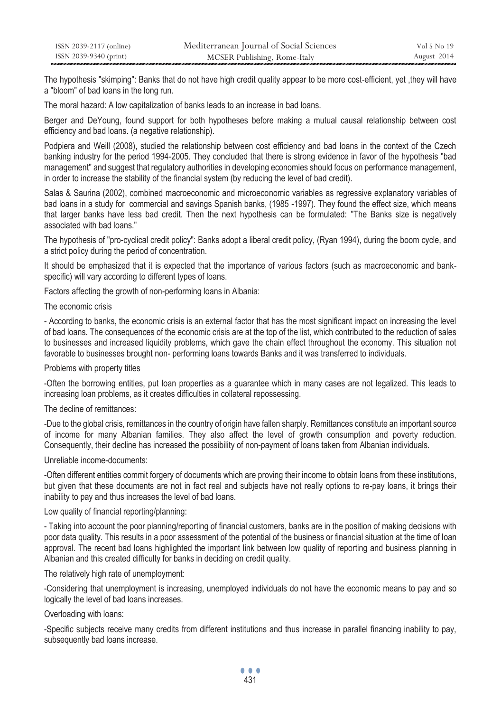The hypothesis "skimping": Banks that do not have high credit quality appear to be more cost-efficient, yet ,they will have a "bloom" of bad loans in the long run.

The moral hazard: A low capitalization of banks leads to an increase in bad loans.

Berger and DeYoung, found support for both hypotheses before making a mutual causal relationship between cost efficiency and bad loans. (a negative relationship).

Podpiera and Weill (2008), studied the relationship between cost efficiency and bad loans in the context of the Czech banking industry for the period 1994-2005. They concluded that there is strong evidence in favor of the hypothesis "bad management" and suggest that regulatory authorities in developing economies should focus on performance management, in order to increase the stability of the financial system (by reducing the level of bad credit).

Salas & Saurina (2002), combined macroeconomic and microeconomic variables as regressive explanatory variables of bad loans in a study for commercial and savings Spanish banks, (1985 -1997). They found the effect size, which means that larger banks have less bad credit. Then the next hypothesis can be formulated: "The Banks size is negatively associated with bad loans."

The hypothesis of "pro-cyclical credit policy": Banks adopt a liberal credit policy, (Ryan 1994), during the boom cycle, and a strict policy during the period of concentration.

It should be emphasized that it is expected that the importance of various factors (such as macroeconomic and bankspecific) will vary according to different types of loans.

Factors affecting the growth of non-performing loans in Albania:

#### The economic crisis

- According to banks, the economic crisis is an external factor that has the most significant impact on increasing the level of bad loans. The consequences of the economic crisis are at the top of the list, which contributed to the reduction of sales to businesses and increased liquidity problems, which gave the chain effect throughout the economy. This situation not favorable to businesses brought non- performing loans towards Banks and it was transferred to individuals.

#### Problems with property titles

-Often the borrowing entities, put loan properties as a guarantee which in many cases are not legalized. This leads to increasing loan problems, as it creates difficulties in collateral repossessing.

#### The decline of remittances:

-Due to the global crisis, remittances in the country of origin have fallen sharply. Remittances constitute an important source of income for many Albanian families. They also affect the level of growth consumption and poverty reduction. Consequently, their decline has increased the possibility of non-payment of loans taken from Albanian individuals.

#### Unreliable income-documents:

-Often different entities commit forgery of documents which are proving their income to obtain loans from these institutions, but given that these documents are not in fact real and subjects have not really options to re-pay loans, it brings their inability to pay and thus increases the level of bad loans.

# Low quality of financial reporting/planning:

- Taking into account the poor planning/reporting of financial customers, banks are in the position of making decisions with poor data quality. This results in a poor assessment of the potential of the business or financial situation at the time of loan approval. The recent bad loans highlighted the important link between low quality of reporting and business planning in Albanian and this created difficulty for banks in deciding on credit quality.

The relatively high rate of unemployment:

-Considering that unemployment is increasing, unemployed individuals do not have the economic means to pay and so logically the level of bad loans increases.

# Overloading with loans:

-Specific subjects receive many credits from different institutions and thus increase in parallel financing inability to pay, subsequently bad loans increase.

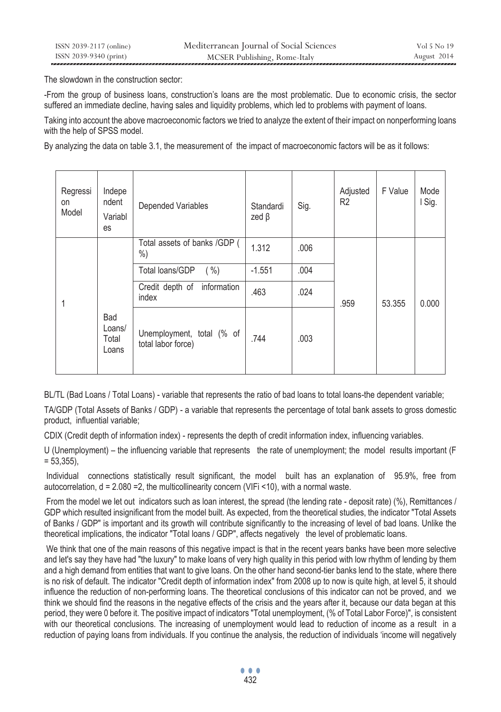| ISSN 2039-2117 (online) | Mediterranean Journal of Social Sciences | Vol 5 No 19 |
|-------------------------|------------------------------------------|-------------|
| ISSN 2039-9340 (print)  | MCSER Publishing, Rome-Italy             | August 2014 |

The slowdown in the construction sector:

-From the group of business loans, construction's loans are the most problematic. Due to economic crisis, the sector suffered an immediate decline, having sales and liquidity problems, which led to problems with payment of loans.

Taking into account the above macroeconomic factors we tried to analyze the extent of their impact on nonperforming loans with the help of SPSS model.

By analyzing the data on table 3.1, the measurement of the impact of macroeconomic factors will be as it follows:

| Regressi<br>on<br>Model | Indepe<br>ndent<br>Variabl<br>es | Depended Variables                              | Standardi<br>zed $\beta$ | Sig. | Adjusted<br>R2 | F Value | Mode<br>I Sig. |
|-------------------------|----------------------------------|-------------------------------------------------|--------------------------|------|----------------|---------|----------------|
|                         |                                  | Total assets of banks /GDP (<br>%               | 1.312                    | .006 |                |         |                |
|                         | Bad<br>Loans/<br>Total<br>Loans  | Total loans/GDP<br>( %)                         | $-1.551$                 | .004 | .959           | 53.355  | 0.000          |
|                         |                                  | Credit depth of information<br>index            | .463                     | .024 |                |         |                |
|                         |                                  | Unemployment, total (% of<br>total labor force) | .744                     | .003 |                |         |                |

BL/TL (Bad Loans / Total Loans) - variable that represents the ratio of bad loans to total loans-the dependent variable;

TA/GDP (Total Assets of Banks / GDP) - a variable that represents the percentage of total bank assets to gross domestic product, influential variable;

CDIX (Credit depth of information index) - represents the depth of credit information index, influencing variables.

U (Unemployment) – the influencing variable that represents the rate of unemployment; the model results important (F  $= 53,355$ ),

 Individual connections statistically result significant, the model built has an explanation of 95.9%, free from autocorrelation, d = 2.080 =2, the multicollinearity concern (VIFi <10), with a normal waste.

From the model we let out indicators such as loan interest, the spread (the lending rate - deposit rate) (%), Remittances / GDP which resulted insignificant from the model built. As expected, from the theoretical studies, the indicator "Total Assets of Banks / GDP" is important and its growth will contribute significantly to the increasing of level of bad loans. Unlike the theoretical implications, the indicator "Total loans / GDP", affects negatively the level of problematic loans.

 We think that one of the main reasons of this negative impact is that in the recent years banks have been more selective and let's say they have had "the luxury" to make loans of very high quality in this period with low rhythm of lending by them and a high demand from entities that want to give loans. On the other hand second-tier banks lend to the state, where there is no risk of default. The indicator "Credit depth of information index" from 2008 up to now is quite high, at level 5, it should influence the reduction of non-performing loans. The theoretical conclusions of this indicator can not be proved, and we think we should find the reasons in the negative effects of the crisis and the years after it, because our data began at this period, they were 0 before it. The positive impact of indicators "Total unemployment, (% of Total Labor Force)", is consistent with our theoretical conclusions. The increasing of unemployment would lead to reduction of income as a result in a reduction of paying loans from individuals. If you continue the analysis, the reduction of individuals 'income will negatively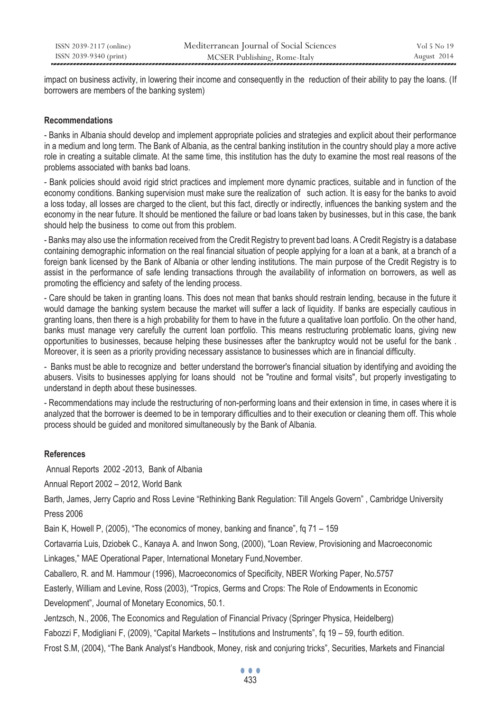impact on business activity, in lowering their income and consequently in the reduction of their ability to pay the loans. (If borrowers are members of the banking system)

#### **Recommendations**

- Banks in Albania should develop and implement appropriate policies and strategies and explicit about their performance in a medium and long term. The Bank of Albania, as the central banking institution in the country should play a more active role in creating a suitable climate. At the same time, this institution has the duty to examine the most real reasons of the problems associated with banks bad loans.

- Bank policies should avoid rigid strict practices and implement more dynamic practices, suitable and in function of the economy conditions. Banking supervision must make sure the realization of such action. It is easy for the banks to avoid a loss today, all losses are charged to the client, but this fact, directly or indirectly, influences the banking system and the economy in the near future. It should be mentioned the failure or bad loans taken by businesses, but in this case, the bank should help the business to come out from this problem.

- Banks may also use the information received from the Credit Registry to prevent bad loans. A Credit Registry is a database containing demographic information on the real financial situation of people applying for a loan at a bank, at a branch of a foreign bank licensed by the Bank of Albania or other lending institutions. The main purpose of the Credit Registry is to assist in the performance of safe lending transactions through the availability of information on borrowers, as well as promoting the efficiency and safety of the lending process.

- Care should be taken in granting loans. This does not mean that banks should restrain lending, because in the future it would damage the banking system because the market will suffer a lack of liquidity. If banks are especially cautious in granting loans, then there is a high probability for them to have in the future a qualitative loan portfolio. On the other hand, banks must manage very carefully the current loan portfolio. This means restructuring problematic loans, giving new opportunities to businesses, because helping these businesses after the bankruptcy would not be useful for the bank . Moreover, it is seen as a priority providing necessary assistance to businesses which are in financial difficulty.

- Banks must be able to recognize and better understand the borrower's financial situation by identifying and avoiding the abusers. Visits to businesses applying for loans should not be "routine and formal visits", but properly investigating to understand in depth about these businesses.

- Recommendations may include the restructuring of non-performing loans and their extension in time, in cases where it is analyzed that the borrower is deemed to be in temporary difficulties and to their execution or cleaning them off. This whole process should be guided and monitored simultaneously by the Bank of Albania.

# **References**

Annual Reports 2002 -2013, Bank of Albania

Annual Report 2002 – 2012, World Bank

Barth, James, Jerry Caprio and Ross Levine "Rethinking Bank Regulation: Till Angels Govern" , Cambridge University Press 2006

Bain K, Howell P, (2005), "The economics of money, banking and finance", fq 71 – 159

Cortavarria Luis, Dziobek C., Kanaya A. and Inwon Song, (2000), "Loan Review, Provisioning and Macroeconomic

Linkages," MAE Operational Paper, International Monetary Fund,November.

Caballero, R. and M. Hammour (1996), Macroeconomics of Specificity, NBER Working Paper, No.5757

Easterly, William and Levine, Ross (2003), "Tropics, Germs and Crops: The Role of Endowments in Economic

Development", Journal of Monetary Economics, 50.1.

Jentzsch, N., 2006, The Economics and Regulation of Financial Privacy (Springer Physica, Heidelberg)

Fabozzi F, Modigliani F, (2009), "Capital Markets – Institutions and Instruments", fq 19 – 59, fourth edition.

Frost S.M, (2004), "The Bank Analyst's Handbook, Money, risk and conjuring tricks", Securities, Markets and Financial

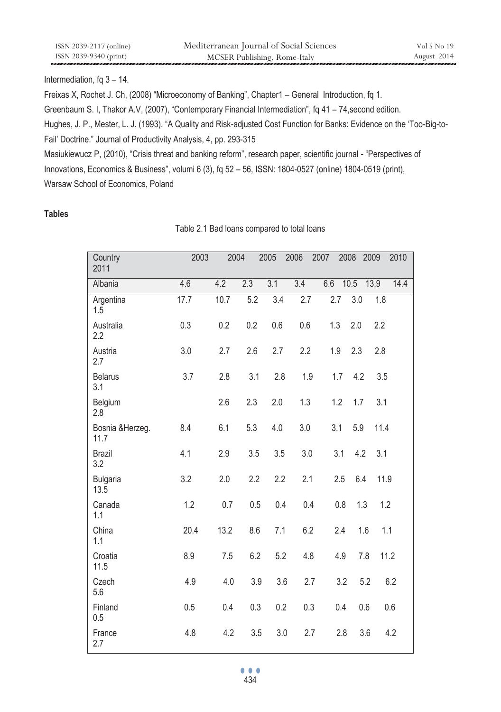| ISSN 2039-2117 (online) | Mediterranean Journal of Social Sciences | Vol 5 No 19 |
|-------------------------|------------------------------------------|-------------|
| ISSN 2039-9340 (print)  | MCSER Publishing, Rome-Italy             | August 2014 |

Intermediation, fq 3 – 14.

Freixas X, Rochet J. Ch, (2008) "Microeconomy of Banking", Chapter1 – General Introduction, fq 1.

Greenbaum S. I, Thakor A.V, (2007), "Contemporary Financial Intermediation", fq 41 – 74,second edition.

Hughes, J. P., Mester, L. J. (1993). "A Quality and Risk-adjusted Cost Function for Banks: Evidence on the 'Too-Big-to-Fail' Doctrine." Journal of Productivity Analysis, 4, pp. 293-315

Masiukiewucz P, (2010), "Crisis threat and banking reform", research paper, scientific journal - "Perspectives of Innovations, Economics & Business", volumi 6 (3), fq 52 – 56, ISSN: 1804-0527 (online) 1804-0519 (print), Warsaw School of Economics, Poland

# **Tables**

|  | Table 2.1 Bad loans compared to total loans |  |
|--|---------------------------------------------|--|
|  |                                             |  |

| Country<br>2011          | 2003 | 2004  |     | 2005 | 2006 | 2007<br>2008 | 2009             | 2010             |
|--------------------------|------|-------|-----|------|------|--------------|------------------|------------------|
| Albania                  | 4.6  | 4.2   | 2.3 | 3.1  | 3.4  | 6.6          | 10.5             | 13.9<br>14.4     |
| Argentina<br>1.5         | 17.7 | 10.7  | 5.2 | 3.4  | 2.7  | 2.7          | $\overline{3.0}$ | $\overline{1.8}$ |
| Australia<br>2.2         | 0.3  | 0.2   | 0.2 | 0.6  | 0.6  | 1.3          | 2.0              | 2.2              |
| Austria<br>2.7           | 3.0  | 2.7   | 2.6 | 2.7  | 2.2  | 1.9          | 2.3              | 2.8              |
| <b>Belarus</b><br>3.1    | 3.7  | 2.8   | 3.1 | 2.8  | 1.9  | 1.7          | 4.2              | 3.5              |
| Belgium<br>2.8           |      | 2.6   | 2.3 | 2.0  | 1.3  | 1.2          | 1.7              | 3.1              |
| Bosnia & Herzeg.<br>11.7 | 8.4  | 6.1   | 5.3 | 4.0  | 3.0  | 3.1          | 5.9              | 11.4             |
| <b>Brazil</b><br>3.2     | 4.1  | 2.9   | 3.5 | 3.5  | 3.0  | 3.1          | 4.2              | 3.1              |
| <b>Bulgaria</b><br>13.5  | 3.2  | 2.0   | 2.2 | 2.2  | 2.1  | 2.5          | 6.4              | 11.9             |
| Canada<br>1.1            | 1.2  | 0.7   | 0.5 | 0.4  | 0.4  | 0.8          | 1.3              | 1.2              |
| China<br>1.1             | 20.4 | 13.2  | 8.6 | 7.1  | 6.2  | 2.4          | 1.6              | 1.1              |
| Croatia<br>11.5          | 8.9  | 7.5   | 6.2 | 5.2  | 4.8  | 4.9          | 7.8              | 11.2             |
| Czech<br>5.6             | 4.9  | $4.0$ | 3.9 | 3.6  | 2.7  | 3.2          | 5.2              | 6.2              |
| Finland<br>0.5           | 0.5  | 0.4   | 0.3 | 0.2  | 0.3  | 0.4          | 0.6              | 0.6              |
| France<br>2.7            | 4.8  | 4.2   | 3.5 | 3.0  | 2.7  | 2.8          | 3.6              | 4.2              |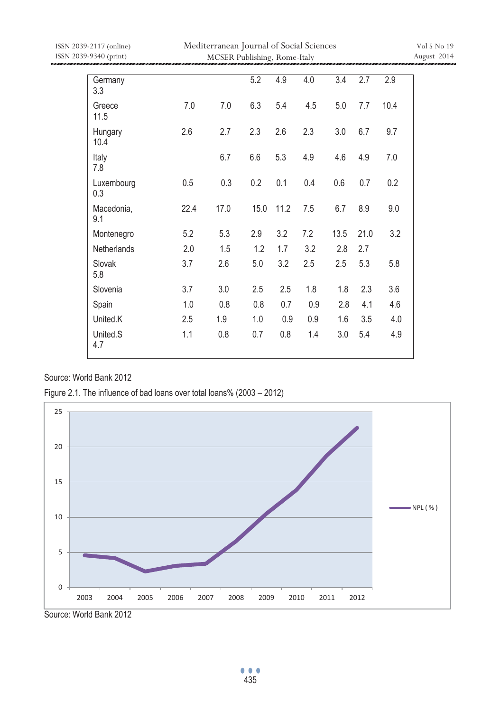Mediterranean Journal of Social Sciences MCSER Publishing, Rome-Italy

Vol 5 No 19 August 2014

| Germany<br>3.3    |      |      | 5.2  | 4.9  | 4.0 | 3.4  | 2.7  | 2.9  |
|-------------------|------|------|------|------|-----|------|------|------|
| Greece<br>11.5    | 7.0  | 7.0  | 6.3  | 5.4  | 4.5 | 5.0  | 7.7  | 10.4 |
| Hungary<br>10.4   | 2.6  | 2.7  | 2.3  | 2.6  | 2.3 | 3.0  | 6.7  | 9.7  |
| Italy<br>7.8      |      | 6.7  | 6.6  | 5.3  | 4.9 | 4.6  | 4.9  | 7.0  |
| Luxembourg<br>0.3 | 0.5  | 0.3  | 0.2  | 0.1  | 0.4 | 0.6  | 0.7  | 0.2  |
| Macedonia,<br>9.1 | 22.4 | 17.0 | 15.0 | 11.2 | 7.5 | 6.7  | 8.9  | 9.0  |
| Montenegro        | 5.2  | 5.3  | 2.9  | 3.2  | 7.2 | 13.5 | 21.0 | 3.2  |
| Netherlands       | 2.0  | 1.5  | 1.2  | 1.7  | 3.2 | 2.8  | 2.7  |      |
| Slovak<br>5.8     | 3.7  | 2.6  | 5.0  | 3.2  | 2.5 | 2.5  | 5.3  | 5.8  |
| Slovenia          | 3.7  | 3.0  | 2.5  | 2.5  | 1.8 | 1.8  | 2.3  | 3.6  |
| Spain             | 1.0  | 0.8  | 0.8  | 0.7  | 0.9 | 2.8  | 4.1  | 4.6  |
| United.K          | 2.5  | 1.9  | 1.0  | 0.9  | 0.9 | 1.6  | 3.5  | 4.0  |
| United.S<br>4.7   | 1.1  | 0.8  | 0.7  | 0.8  | 1.4 | 3.0  | 5.4  | 4.9  |

# Source: World Bank 2012

Figure 2.1. The influence of bad loans over total loans% (2003 – 2012)



Source: World Bank 2012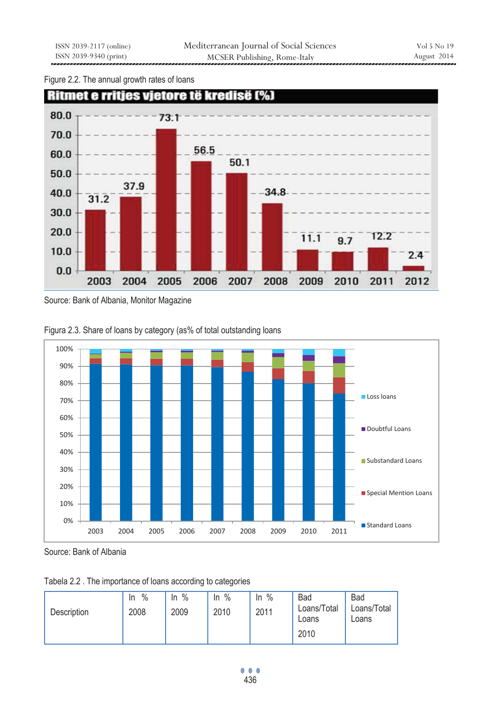# Figure 2.2. The annual growth rates of loans



Source: Bank of Albania, Monitor Magazine



Figura 2.3. Share of loans by category (as% of total outstanding loans

Source: Bank of Albania

Tabela 2.2 . The importance of loans according to categories

| Description | $\frac{0}{0}$<br>In<br>2008 | $\%$<br>In.<br>2009 | $\%$<br>In<br>2010 | $\%$<br>In.<br>2011 | Bad<br>Loans/Total<br>Loans<br>2010 | Bad<br>Loans/Total<br>Loans |
|-------------|-----------------------------|---------------------|--------------------|---------------------|-------------------------------------|-----------------------------|
|-------------|-----------------------------|---------------------|--------------------|---------------------|-------------------------------------|-----------------------------|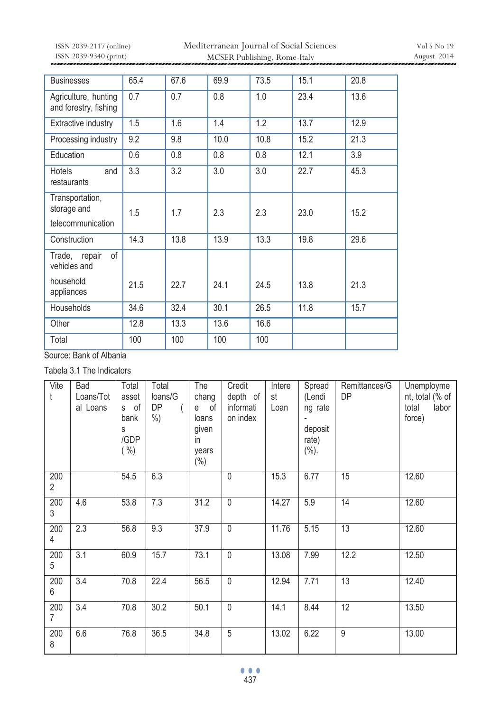ISSN 2039-2117 (online) ISSN 2039-9340 (print)

 Mediterranean Journal of Social Sciences MCSER Publishing, Rome-Italy

Vol 5 No 19 August 2014

| <b>Businesses</b>                                   | 65.4 | 67.6             | 69.9 | 73.5 | 15.1 | 20.8 |
|-----------------------------------------------------|------|------------------|------|------|------|------|
| Agriculture, hunting<br>and forestry, fishing       | 0.7  | 0.7              | 0.8  | 1.0  | 23.4 | 13.6 |
| Extractive industry                                 | 1.5  | 1.6              | 1.4  | 1.2  | 13.7 | 12.9 |
| Processing industry                                 | 9.2  | 9.8              | 10.0 | 10.8 | 15.2 | 21.3 |
| Education                                           | 0.6  | 0.8              | 0.8  | 0.8  | 12.1 | 3.9  |
| Hotels<br>and<br>restaurants                        | 3.3  | $\overline{3.2}$ | 3.0  | 3.0  | 22.7 | 45.3 |
| Transportation,<br>storage and<br>telecommunication | 1.5  | 1.7              | 2.3  | 2.3  | 23.0 | 15.2 |
| Construction                                        | 14.3 | 13.8             | 13.9 | 13.3 | 19.8 | 29.6 |
| оf<br>Trade, repair<br>vehicles and                 |      |                  |      |      |      |      |
| household<br>appliances                             | 21.5 | 22.7             | 24.1 | 24.5 | 13.8 | 21.3 |
| <b>Households</b>                                   | 34.6 | 32.4             | 30.1 | 26.5 | 11.8 | 15.7 |
| Other                                               | 12.8 | 13.3             | 13.6 | 16.6 |      |      |
| Total                                               | 100  | 100              | 100  | 100  |      |      |

Source: Bank of Albania

Tabela 3.1 The Indicators

| Vite<br>t | Bad<br>Loans/Tot<br>al Loans | Total<br>asset<br>s of<br>bank<br>S<br>/GDP<br>( %) | Total<br>loans/G<br>DP<br>$%$ ) | The<br>chang<br>e of<br>loans<br>given<br>in<br>years<br>$(\%)$ | Credit<br>depth of<br>informati<br>on index | Intere<br>st<br>Loan | Spread<br>(Lendi<br>ng rate<br>deposit<br>rate)<br>(%). | Remittances/G<br><b>DP</b> | Unemployme<br>nt, total (% of<br>total<br>labor<br>force) |
|-----------|------------------------------|-----------------------------------------------------|---------------------------------|-----------------------------------------------------------------|---------------------------------------------|----------------------|---------------------------------------------------------|----------------------------|-----------------------------------------------------------|
| 200<br>2  |                              | 54.5                                                | 6.3                             |                                                                 | $\Omega$                                    | 15.3                 | 6.77                                                    | 15                         | 12.60                                                     |
| 200<br>3  | 4.6                          | 53.8                                                | 7.3                             | 31.2                                                            | $\mathbf 0$                                 | 14.27                | 5.9                                                     | 14                         | 12.60                                                     |
| 200<br>4  | 2.3                          | 56.8                                                | 9.3                             | 37.9                                                            | $\Omega$                                    | 11.76                | 5.15                                                    | $\overline{13}$            | 12.60                                                     |
| 200<br>5  | 3.1                          | 60.9                                                | 15.7                            | 73.1                                                            | $\mathbf 0$                                 | 13.08                | 7.99                                                    | 12.2                       | 12.50                                                     |
| 200<br>6  | $\overline{3.4}$             | 70.8                                                | 22.4                            | 56.5                                                            | $\mathbf 0$                                 | 12.94                | 7.71                                                    | $\overline{13}$            | 12.40                                                     |
| 200<br>7  | 3.4                          | 70.8                                                | 30.2                            | 50.1                                                            | $\Omega$                                    | 14.1                 | 8.44                                                    | 12                         | 13.50                                                     |
| 200<br>8  | 6.6                          | 76.8                                                | 36.5                            | 34.8                                                            | $\overline{5}$                              | 13.02                | 6.22                                                    | $\overline{9}$             | 13.00                                                     |